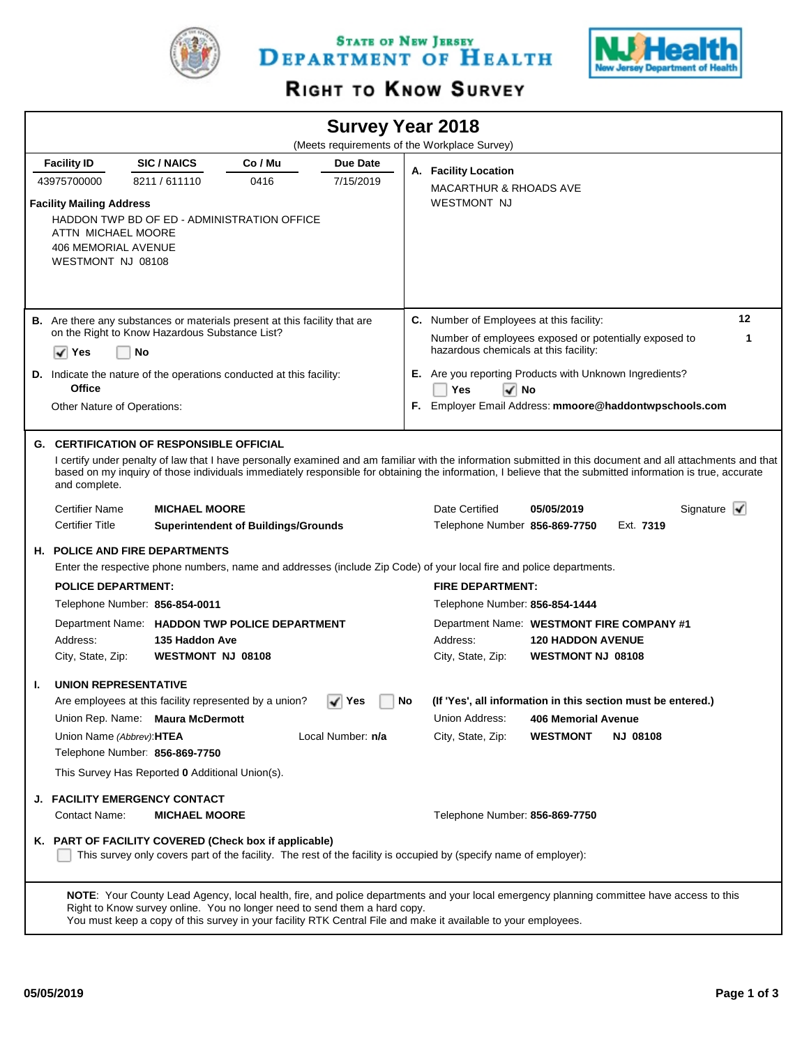

STATE OF NEW JERSEY DEPARTMENT OF HEALTH



## RIGHT TO KNOW SURVEY

| <b>Survey Year 2018</b><br>(Meets requirements of the Workplace Survey) |                                                                                                                                                                                                                                                                                                                                                                                               |                                                 |                                                                                   |                       |                          |                                                                                                                      |                          |  |                                |  |  |  |
|-------------------------------------------------------------------------|-----------------------------------------------------------------------------------------------------------------------------------------------------------------------------------------------------------------------------------------------------------------------------------------------------------------------------------------------------------------------------------------------|-------------------------------------------------|-----------------------------------------------------------------------------------|-----------------------|--------------------------|----------------------------------------------------------------------------------------------------------------------|--------------------------|--|--------------------------------|--|--|--|
|                                                                         | <b>Facility ID</b>                                                                                                                                                                                                                                                                                                                                                                            |                                                 | Co / Mu                                                                           |                       |                          |                                                                                                                      |                          |  |                                |  |  |  |
|                                                                         | 43975700000                                                                                                                                                                                                                                                                                                                                                                                   | <b>SIC/NAICS</b><br>8211/611110<br>0416         |                                                                                   | Due Date<br>7/15/2019 |                          | A. Facility Location                                                                                                 |                          |  |                                |  |  |  |
|                                                                         |                                                                                                                                                                                                                                                                                                                                                                                               |                                                 |                                                                                   |                       |                          | <b>MACARTHUR &amp; RHOADS AVE</b>                                                                                    |                          |  |                                |  |  |  |
|                                                                         | <b>Facility Mailing Address</b><br>ATTN MICHAEL MOORE<br><b>406 MEMORIAL AVENUE</b><br>WESTMONT NJ 08108                                                                                                                                                                                                                                                                                      |                                                 | HADDON TWP BD OF ED - ADMINISTRATION OFFICE                                       |                       |                          | <b>WESTMONT NJ</b>                                                                                                   |                          |  |                                |  |  |  |
|                                                                         |                                                                                                                                                                                                                                                                                                                                                                                               |                                                 | <b>B.</b> Are there any substances or materials present at this facility that are |                       |                          | C. Number of Employees at this facility:                                                                             |                          |  | 12                             |  |  |  |
|                                                                         |                                                                                                                                                                                                                                                                                                                                                                                               | on the Right to Know Hazardous Substance List?  |                                                                                   |                       |                          | Number of employees exposed or potentially exposed to<br>1                                                           |                          |  |                                |  |  |  |
|                                                                         | √<br>Yes                                                                                                                                                                                                                                                                                                                                                                                      | No                                              |                                                                                   |                       |                          | hazardous chemicals at this facility:                                                                                |                          |  |                                |  |  |  |
| D.                                                                      |                                                                                                                                                                                                                                                                                                                                                                                               |                                                 | Indicate the nature of the operations conducted at this facility:                 |                       |                          | E. Are you reporting Products with Unknown Ingredients?                                                              |                          |  |                                |  |  |  |
|                                                                         | <b>Office</b>                                                                                                                                                                                                                                                                                                                                                                                 |                                                 |                                                                                   |                       |                          | Yes<br>√ No                                                                                                          |                          |  |                                |  |  |  |
|                                                                         | Other Nature of Operations:                                                                                                                                                                                                                                                                                                                                                                   |                                                 |                                                                                   |                       |                          | F. Employer Email Address: mmoore@haddontwpschools.com                                                               |                          |  |                                |  |  |  |
|                                                                         |                                                                                                                                                                                                                                                                                                                                                                                               |                                                 |                                                                                   |                       |                          |                                                                                                                      |                          |  |                                |  |  |  |
|                                                                         | <b>G. CERTIFICATION OF RESPONSIBLE OFFICIAL</b><br>I certify under penalty of law that I have personally examined and am familiar with the information submitted in this document and all attachments and that<br>based on my inquiry of those individuals immediately responsible for obtaining the information, I believe that the submitted information is true, accurate<br>and complete. |                                                 |                                                                                   |                       |                          |                                                                                                                      |                          |  |                                |  |  |  |
|                                                                         | <b>Certifier Name</b>                                                                                                                                                                                                                                                                                                                                                                         | <b>MICHAEL MOORE</b>                            |                                                                                   |                       |                          | Date Certified                                                                                                       | 05/05/2019               |  | Signature $\blacktriangledown$ |  |  |  |
|                                                                         | <b>Certifier Title</b><br><b>Superintendent of Buildings/Grounds</b>                                                                                                                                                                                                                                                                                                                          |                                                 |                                                                                   |                       |                          | Telephone Number 856-869-7750<br>Ext. 7319                                                                           |                          |  |                                |  |  |  |
|                                                                         |                                                                                                                                                                                                                                                                                                                                                                                               | <b>H. POLICE AND FIRE DEPARTMENTS</b>           |                                                                                   |                       |                          |                                                                                                                      |                          |  |                                |  |  |  |
|                                                                         |                                                                                                                                                                                                                                                                                                                                                                                               |                                                 |                                                                                   |                       |                          | Enter the respective phone numbers, name and addresses (include Zip Code) of your local fire and police departments. |                          |  |                                |  |  |  |
|                                                                         | <b>POLICE DEPARTMENT:</b>                                                                                                                                                                                                                                                                                                                                                                     |                                                 |                                                                                   |                       |                          | <b>FIRE DEPARTMENT:</b>                                                                                              |                          |  |                                |  |  |  |
|                                                                         |                                                                                                                                                                                                                                                                                                                                                                                               | Telephone Number: 856-854-0011                  |                                                                                   |                       |                          | Telephone Number: 856-854-1444                                                                                       |                          |  |                                |  |  |  |
|                                                                         |                                                                                                                                                                                                                                                                                                                                                                                               |                                                 | Department Name: HADDON TWP POLICE DEPARTMENT                                     |                       |                          | Department Name: WESTMONT FIRE COMPANY #1                                                                            |                          |  |                                |  |  |  |
|                                                                         | Address:<br>135 Haddon Ave                                                                                                                                                                                                                                                                                                                                                                    |                                                 |                                                                                   | Address:              | <b>120 HADDON AVENUE</b> |                                                                                                                      |                          |  |                                |  |  |  |
|                                                                         | City, State, Zip:                                                                                                                                                                                                                                                                                                                                                                             | <b>WESTMONT NJ 08108</b>                        |                                                                                   |                       |                          | City, State, Zip:                                                                                                    | <b>WESTMONT NJ 08108</b> |  |                                |  |  |  |
| ı.                                                                      | <b>UNION REPRESENTATIVE</b>                                                                                                                                                                                                                                                                                                                                                                   |                                                 |                                                                                   |                       |                          |                                                                                                                      |                          |  |                                |  |  |  |
|                                                                         |                                                                                                                                                                                                                                                                                                                                                                                               |                                                 | Are employees at this facility represented by a union?                            | ∣ Yes                 | No                       | (If 'Yes', all information in this section must be entered.)                                                         |                          |  |                                |  |  |  |
|                                                                         |                                                                                                                                                                                                                                                                                                                                                                                               | Union Rep. Name: Maura McDermott                |                                                                                   |                       |                          | Union Address:                                                                                                       | 406 Memorial Avenue      |  |                                |  |  |  |
|                                                                         |                                                                                                                                                                                                                                                                                                                                                                                               | Union Name (Abbrev): HTEA<br>Local Number: n/a  |                                                                                   |                       | City, State, Zip:        | <b>WESTMONT</b>                                                                                                      | <b>NJ 08108</b>          |  |                                |  |  |  |
|                                                                         |                                                                                                                                                                                                                                                                                                                                                                                               | Telephone Number: 856-869-7750                  |                                                                                   |                       |                          |                                                                                                                      |                          |  |                                |  |  |  |
|                                                                         |                                                                                                                                                                                                                                                                                                                                                                                               | This Survey Has Reported 0 Additional Union(s). |                                                                                   |                       |                          |                                                                                                                      |                          |  |                                |  |  |  |
|                                                                         |                                                                                                                                                                                                                                                                                                                                                                                               | J. FACILITY EMERGENCY CONTACT                   |                                                                                   |                       |                          |                                                                                                                      |                          |  |                                |  |  |  |
|                                                                         | Contact Name:                                                                                                                                                                                                                                                                                                                                                                                 | <b>MICHAEL MOORE</b>                            |                                                                                   |                       |                          | Telephone Number: 856-869-7750                                                                                       |                          |  |                                |  |  |  |
|                                                                         | K. PART OF FACILITY COVERED (Check box if applicable)<br>This survey only covers part of the facility. The rest of the facility is occupied by (specify name of employer):                                                                                                                                                                                                                    |                                                 |                                                                                   |                       |                          |                                                                                                                      |                          |  |                                |  |  |  |
|                                                                         | NOTE: Your County Lead Agency, local health, fire, and police departments and your local emergency planning committee have access to this<br>Right to Know survey online. You no longer need to send them a hard copy.<br>You must keep a copy of this survey in your facility RTK Central File and make it available to your employees.                                                      |                                                 |                                                                                   |                       |                          |                                                                                                                      |                          |  |                                |  |  |  |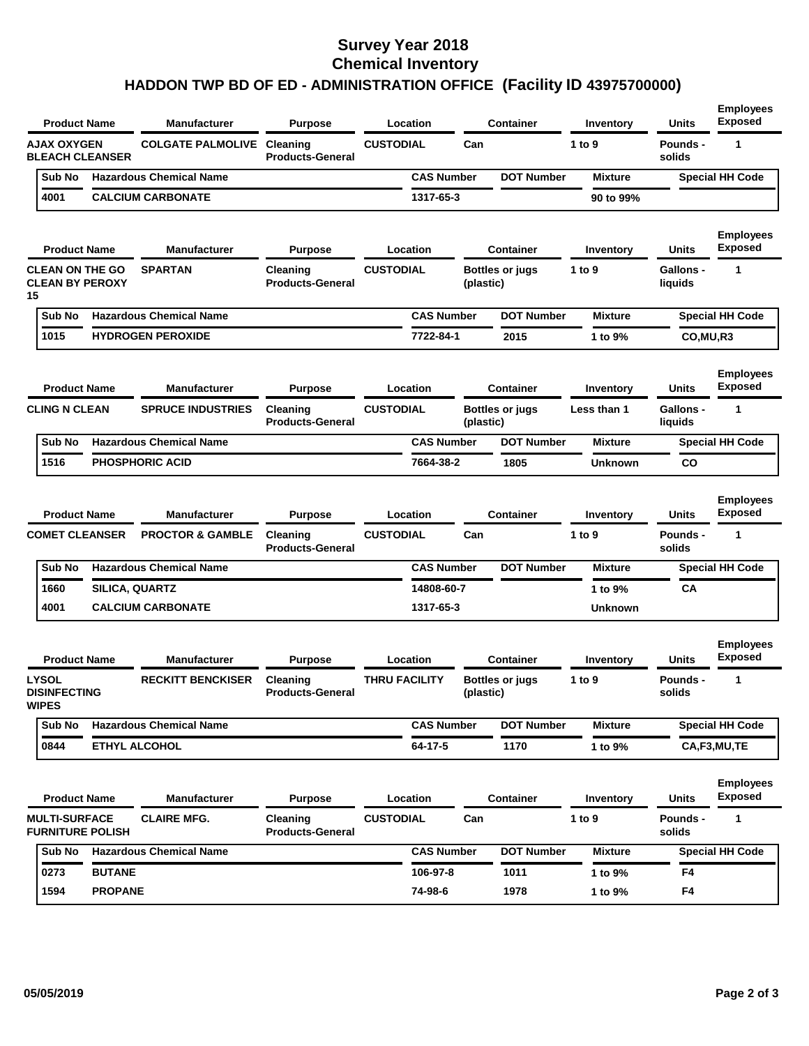## **Survey Year 2018 Chemical Inventory HADDON TWP BD OF ED - ADMINISTRATION OFFICE (Facility ID 43975700000)**

| <b>Product Name</b>                                                             |                                                      | <b>Manufacturer</b>                 | Purpose                             | Location          |                                        | <b>Container</b>  | Inventory                             | <b>Units</b>                | <b>Employees</b><br><b>Exposed</b> |
|---------------------------------------------------------------------------------|------------------------------------------------------|-------------------------------------|-------------------------------------|-------------------|----------------------------------------|-------------------|---------------------------------------|-----------------------------|------------------------------------|
| <b>AJAX OXYGEN</b><br><b>BLEACH CLEANSER</b>                                    |                                                      | <b>COLGATE PALMOLIVE</b>            | Cleaning<br><b>Products-General</b> | <b>CUSTODIAL</b>  | Can                                    |                   | 1 to 9                                | Pounds -<br>solids          | 1                                  |
| Sub No                                                                          | <b>Hazardous Chemical Name</b>                       |                                     |                                     |                   | <b>CAS Number</b>                      | <b>DOT Number</b> | <b>Mixture</b>                        |                             | <b>Special HH Code</b>             |
| 4001                                                                            | <b>CALCIUM CARBONATE</b>                             |                                     |                                     | 1317-65-3         |                                        |                   | 90 to 99%                             |                             |                                    |
| <b>Product Name</b>                                                             |                                                      | <b>Manufacturer</b>                 | <b>Purpose</b>                      | Location          |                                        | <b>Container</b>  | Inventory                             | <b>Units</b>                | <b>Employees</b><br><b>Exposed</b> |
| <b>CLEAN ON THE GO</b><br><b>CLEAN BY PEROXY</b><br>15                          |                                                      | <b>SPARTAN</b>                      | Cleaning<br><b>Products-General</b> | <b>CUSTODIAL</b>  | <b>Bottles or jugs</b><br>(plastic)    |                   | 1 to 9<br><b>Gallons -</b><br>liquids |                             | $\mathbf{1}$                       |
| Sub No                                                                          |                                                      | <b>Hazardous Chemical Name</b>      |                                     | <b>CAS Number</b> |                                        | <b>DOT Number</b> | <b>Mixture</b>                        |                             | <b>Special HH Code</b>             |
| 1015                                                                            | <b>HYDROGEN PEROXIDE</b>                             |                                     |                                     | 7722-84-1<br>2015 |                                        | 1 to 9%           | CO, MU, R3                            |                             |                                    |
| <b>Product Name</b>                                                             |                                                      | <b>Manufacturer</b>                 | Purpose                             | Location          |                                        | <b>Container</b>  | Inventory                             | <b>Units</b>                | <b>Employees</b><br><b>Exposed</b> |
| <b>CLING N CLEAN</b><br><b>SPRUCE INDUSTRIES</b>                                |                                                      |                                     | Cleaning<br><b>Products-General</b> | <b>CUSTODIAL</b>  | Bottles or jugs<br>(plastic)           |                   | Less than 1                           | <b>Gallons -</b><br>liquids | 1                                  |
| Sub No                                                                          |                                                      | <b>Hazardous Chemical Name</b>      |                                     |                   | <b>CAS Number</b><br><b>DOT Number</b> |                   | <b>Mixture</b>                        |                             | <b>Special HH Code</b>             |
| 1516                                                                            | <b>PHOSPHORIC ACID</b>                               |                                     |                                     | 7664-38-2         |                                        | 1805              | Unknown                               | CO                          |                                    |
| <b>Product Name</b>                                                             |                                                      | <b>Manufacturer</b>                 | <b>Purpose</b>                      | Location          |                                        | Container         | Inventory                             | <b>Units</b>                | <b>Employees</b><br><b>Exposed</b> |
|                                                                                 | <b>COMET CLEANSER</b><br><b>PROCTOR &amp; GAMBLE</b> |                                     | Cleaning<br><b>Products-General</b> | <b>CUSTODIAL</b>  | Can                                    |                   | 1 to 9                                | Pounds -<br>solids          | 1                                  |
| Sub No                                                                          |                                                      | <b>Hazardous Chemical Name</b>      |                                     |                   | <b>CAS Number</b>                      | <b>DOT Number</b> | <b>Mixture</b>                        |                             | <b>Special HH Code</b>             |
| 1660                                                                            | SILICA, QUARTZ                                       |                                     |                                     | 14808-60-7        |                                        |                   | 1 to 9%                               | CА                          |                                    |
| 4001                                                                            | <b>CALCIUM CARBONATE</b>                             |                                     |                                     | 1317-65-3         |                                        | <b>Unknown</b>    |                                       |                             |                                    |
|                                                                                 | <b>Product Name</b><br><b>Manufacturer</b>           |                                     | Purpose                             | Location          |                                        | <b>Container</b>  | Inventory                             | <b>Units</b>                | <b>Employees</b><br><b>Exposed</b> |
| <b>LYSOL</b><br><b>RECKITT BENCKISER</b><br><b>DISINFECTING</b><br><b>WIPES</b> |                                                      | Cleaning<br><b>Products-General</b> | <b>THRU FACILITY</b>                | (plastic)         | <b>Bottles or jugs</b>                 | 1 to 9            | <b>Pounds -</b><br>solids             | $\mathbf{1}$                |                                    |
| Sub No                                                                          |                                                      | <b>Hazardous Chemical Name</b>      |                                     |                   | <b>CAS Number</b>                      | <b>DOT Number</b> | <b>Mixture</b>                        |                             | <b>Special HH Code</b>             |
| 0844                                                                            | ETHYL ALCOHOL                                        |                                     |                                     | 64-17-5           |                                        | 1170              | 1 to 9%                               |                             | CA,F3,MU,TE                        |
| <b>Product Name</b>                                                             |                                                      | <b>Manufacturer</b>                 | Purpose                             | Location          |                                        | <b>Container</b>  | Inventory                             | <b>Units</b>                | <b>Employees</b><br><b>Exposed</b> |
| <b>MULTI-SURFACE</b><br><b>CLAIRE MFG.</b><br><b>FURNITURE POLISH</b>           |                                                      | Cleaning<br><b>Products-General</b> | <b>CUSTODIAL</b><br>Can             |                   |                                        | 1 to $9$          | <b>Pounds -</b><br>solids             | 1                           |                                    |
| Sub No                                                                          | <b>Hazardous Chemical Name</b>                       |                                     |                                     |                   | <b>CAS Number</b>                      | <b>DOT Number</b> | <b>Mixture</b>                        |                             | <b>Special HH Code</b>             |
|                                                                                 |                                                      |                                     |                                     |                   |                                        |                   |                                       |                             |                                    |
| 0273                                                                            | <b>BUTANE</b>                                        |                                     |                                     | 106-97-8          |                                        | 1011              | 1 to 9%                               | F4                          |                                    |